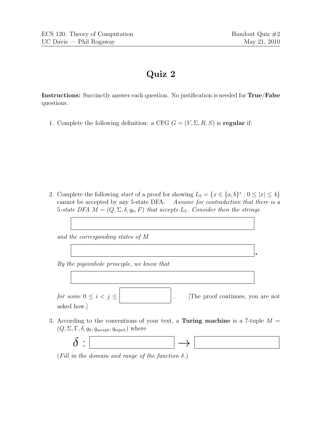.

## Quiz 2

Instructions: Succinctly answer each question. No justification is needed for True/False questions.

1. Complete the following definition: a CFG  $G = (V, \Sigma, R, S)$  is regular if:

2. Complete the following *start* of a proof for showing  $L_5 = \{x \in \{a, b\}^* : 0 \leq |x| \leq 4\}$ cannot be accepted by any 5-state DFA: Assume for contradiction that there is a 5-state DFA  $M = (Q, \Sigma, \delta, q_0, F)$  that accepts  $L_5$ . Consider then the strings

and the corresponding states of M

By the pigeonhole principle, we know that

for some  $0 \le i \le j \le$  | [The proof continues, you are not asked how.]

3. According to the conventions of your text, a Turing machine is a 7-tuple  $M =$  $(Q, \Sigma, \Gamma, \delta, q_0, q_{\text{accept}}, q_{\text{reject}})$  where



(Fill in the domain and range of the function  $\delta$ .)